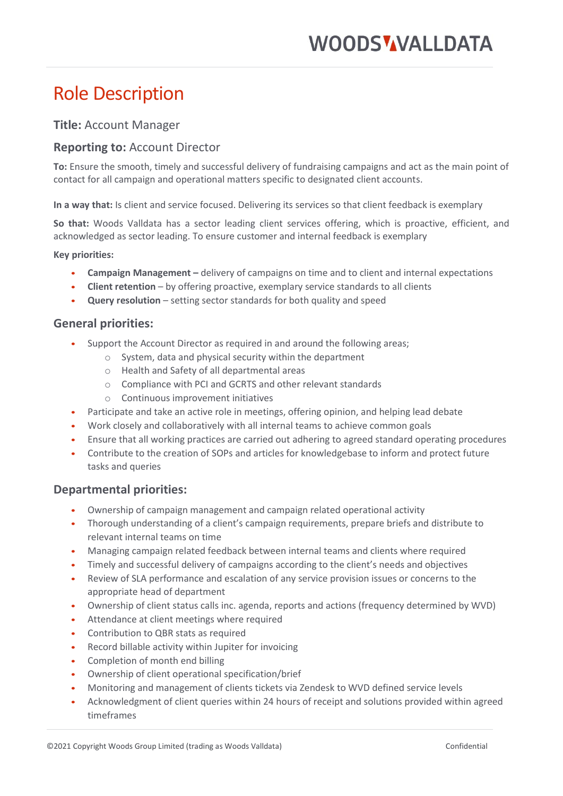# **WOODS WALLDATA**

# Role Description

# **Title:** Account Manager

# **Reporting to:** Account Director

**To:** Ensure the smooth, timely and successful delivery of fundraising campaigns and act as the main point of contact for all campaign and operational matters specific to designated client accounts.

**In a way that:** Is client and service focused. Delivering its services so that client feedback is exemplary

**So that:** Woods Valldata has a sector leading client services offering, which is proactive, efficient, and acknowledged as sector leading. To ensure customer and internal feedback is exemplary

#### **Key priorities:**

- **Campaign Management –** delivery of campaigns on time and to client and internal expectations
- **Client retention** by offering proactive, exemplary service standards to all clients
- **Query resolution** setting sector standards for both quality and speed

#### **General priorities:**

- Support the Account Director as required in and around the following areas;
	- o System, data and physical security within the department
	- o Health and Safety of all departmental areas
	- o Compliance with PCI and GCRTS and other relevant standards
	- o Continuous improvement initiatives
- Participate and take an active role in meetings, offering opinion, and helping lead debate
- Work closely and collaboratively with all internal teams to achieve common goals
- Ensure that all working practices are carried out adhering to agreed standard operating procedures
- Contribute to the creation of SOPs and articles for knowledgebase to inform and protect future tasks and queries

### **Departmental priorities:**

- Ownership of campaign management and campaign related operational activity
- Thorough understanding of a client's campaign requirements, prepare briefs and distribute to relevant internal teams on time
- Managing campaign related feedback between internal teams and clients where required
- Timely and successful delivery of campaigns according to the client's needs and objectives
- Review of SLA performance and escalation of any service provision issues or concerns to the appropriate head of department
- Ownership of client status calls inc. agenda, reports and actions (frequency determined by WVD)
- Attendance at client meetings where required
- Contribution to QBR stats as required
- Record billable activity within Jupiter for invoicing
- Completion of month end billing
- Ownership of client operational specification/brief
- Monitoring and management of clients tickets via Zendesk to WVD defined service levels
- Acknowledgment of client queries within 24 hours of receipt and solutions provided within agreed timeframes